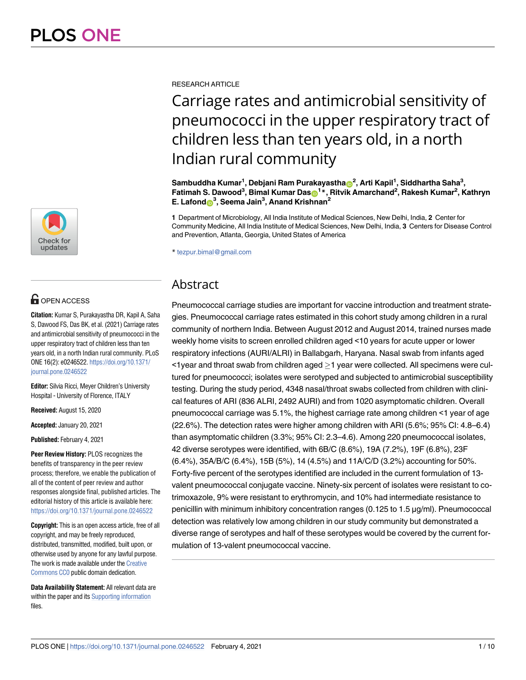

## **OPEN ACCESS**

**Citation:** Kumar S, Purakayastha DR, Kapil A, Saha S, Dawood FS, Das BK, et al. (2021) Carriage rates and antimicrobial sensitivity of pneumococci in the upper respiratory tract of children less than ten years old, in a north Indian rural community. PLoS ONE 16(2): e0246522. [https://doi.org/10.1371/](https://doi.org/10.1371/journal.pone.0246522) [journal.pone.0246522](https://doi.org/10.1371/journal.pone.0246522)

**Editor:** Silvia Ricci, Meyer Children's University Hospital - University of Florence, ITALY

**Received:** August 15, 2020

**Accepted:** January 20, 2021

**Published:** February 4, 2021

**Peer Review History:** PLOS recognizes the benefits of transparency in the peer review process; therefore, we enable the publication of all of the content of peer review and author responses alongside final, published articles. The editorial history of this article is available here: <https://doi.org/10.1371/journal.pone.0246522>

**Copyright:** This is an open access article, free of all copyright, and may be freely reproduced, distributed, transmitted, modified, built upon, or otherwise used by anyone for any lawful purpose. The work is made available under the [Creative](https://creativecommons.org/publicdomain/zero/1.0/) [Commons CC0](https://creativecommons.org/publicdomain/zero/1.0/) public domain dedication.

**Data Availability Statement:** All relevant data are within the paper and its [Supporting information](#page-6-0) files.

RESEARCH ARTICLE

# Carriage rates and antimicrobial sensitivity of pneumococci in the upper respiratory tract of children less than ten years old, in a north Indian rural community

 $\mathsf{Sambuddha Kumar}^1$ , Debjani Ram Purakayastha $\mathsf{D}^2$ , Arti Kapil<sup>1</sup>, Siddhartha Saha $^3$ ,  $\mathsf{F}$ atimah S. Dawood $^3$ , Bimal Kumar Das $\mathsf{D}^1{}^*$ , Ritvik Amarchand<sup>2</sup>, Rakesh Kumar<sup>2</sup>, Kathryn **E. Lafond[ID](https://orcid.org/0000-0001-5018-9591)<sup>3</sup> , Seema Jain<sup>3</sup> , Anand Krishnan<sup>2</sup>**

**1** Department of Microbiology, All India Institute of Medical Sciences, New Delhi, India, **2** Center for Community Medicine, All India Institute of Medical Sciences, New Delhi, India, **3** Centers for Disease Control and Prevention, Atlanta, Georgia, United States of America

\* tezpur.bimal@gmail.com

### Abstract

Pneumococcal carriage studies are important for vaccine introduction and treatment strategies. Pneumococcal carriage rates estimated in this cohort study among children in a rural community of northern India. Between August 2012 and August 2014, trained nurses made weekly home visits to screen enrolled children aged <10 years for acute upper or lower respiratory infections (AURI/ALRI) in Ballabgarh, Haryana. Nasal swab from infants aged  $\leq$  1 year and throat swab from children aged  $\geq$  1 year were collected. All specimens were cultured for pneumococci; isolates were serotyped and subjected to antimicrobial susceptibility testing. During the study period, 4348 nasal/throat swabs collected from children with clinical features of ARI (836 ALRI, 2492 AURI) and from 1020 asymptomatic children. Overall pneumococcal carriage was 5.1%, the highest carriage rate among children <1 year of age (22.6%). The detection rates were higher among children with ARI (5.6%; 95% CI: 4.8–6.4) than asymptomatic children (3.3%; 95% CI: 2.3–4.6). Among 220 pneumococcal isolates, 42 diverse serotypes were identified, with 6B/C (8.6%), 19A (7.2%), 19F (6.8%), 23F (6.4%), 35A/B/C (6.4%), 15B (5%), 14 (4.5%) and 11A/C/D (3.2%) accounting for 50%. Forty-five percent of the serotypes identified are included in the current formulation of 13 valent pneumococcal conjugate vaccine. Ninety-six percent of isolates were resistant to cotrimoxazole, 9% were resistant to erythromycin, and 10% had intermediate resistance to penicillin with minimum inhibitory concentration ranges (0.125 to 1.5 μg/ml). Pneumococcal detection was relatively low among children in our study community but demonstrated a diverse range of serotypes and half of these serotypes would be covered by the current formulation of 13-valent pneumococcal vaccine.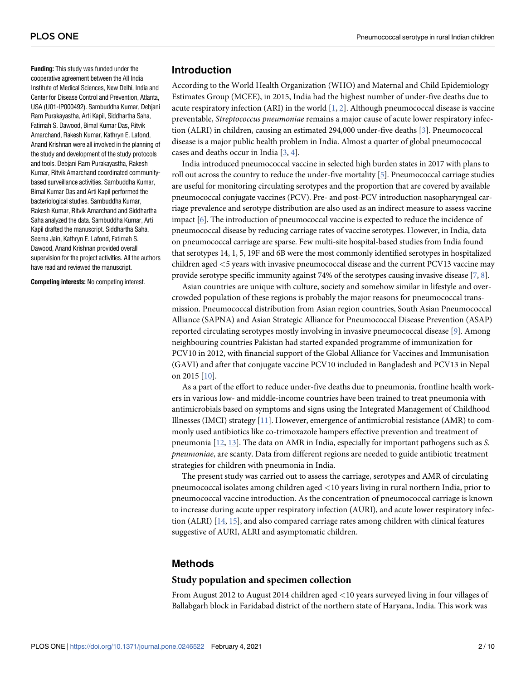<span id="page-1-0"></span>**Funding:** This study was funded under the cooperative agreement between the All India Institute of Medical Sciences, New Delhi, India and Center for Disease Control and Prevention, Atlanta, USA (U01-IP000492). Sambuddha Kumar, Debjani Ram Purakayastha, Arti Kapil, Siddhartha Saha, Fatimah S. Dawood, Bimal Kumar Das, Ritvik Amarchand, Rakesh Kumar, Kathryn E. Lafond, Anand Krishnan were all involved in the planning of the study and development of the study protocols and tools. Debjani Ram Purakayastha, Rakesh Kumar, Ritvik Amarchand coordinated communitybased surveillance activities. Sambuddha Kumar, Bimal Kumar Das and Arti Kapil performed the bacteriological studies. Sambuddha Kumar, Rakesh Kumar, Ritvik Amarchand and Siddhartha Saha analyzed the data. Sambuddha Kumar, Arti Kapil drafted the manuscript. Siddhartha Saha, Seema Jain, Kathryn E. Lafond, Fatimah S. Dawood, Anand Krishnan provided overall supervision for the project activities. All the authors have read and reviewed the manuscript.

**Competing interests:** No competing interest.

#### **Introduction**

According to the World Health Organization (WHO) and Maternal and Child Epidemiology Estimates Group (MCEE), in 2015, India had the highest number of under-five deaths due to acute respiratory infection (ARI) in the world  $[1, 2]$  $[1, 2]$  $[1, 2]$ . Although pneumococcal disease is vaccine preventable, Streptococcus pneumoniae remains a major cause of acute lower respiratory infection (ALRI) in children, causing an estimated 294,000 under-five deaths [\[3\]](#page-8-0). Pneumococcal disease is a major public health problem in India. Almost a quarter of global pneumococcal cases and deaths occur in India [\[3](#page-8-0), [4](#page-8-0)].

India introduced pneumococcal vaccine in selected high burden states in 2017 with plans to roll out across the country to reduce the under-five mortality  $[5]$  $[5]$  $[5]$ . Pneumococcal carriage studies are useful for monitoring circulating serotypes and the proportion that are covered by available pneumococcal conjugate vaccines (PCV). Pre- and post-PCV introduction nasopharyngeal carriage prevalence and serotype distribution are also used as an indirect measure to assess vaccine impact [[6](#page-8-0)]. The introduction of pneumococcal vaccine is expected to reduce the incidence of pneumococcal disease by reducing carriage rates of vaccine serotypes. However, in India, data on pneumococcal carriage are sparse. Few multi-site hospital-based studies from India found that serotypes 14, 1, 5, 19F and 6B were the most commonly identified serotypes in hospitalized children aged *<*5 years with invasive pneumococcal disease and the current PCV13 vaccine may provide serotype specific immunity against 74% of the serotypes causing invasive disease [[7](#page-8-0), [8](#page-8-0)].

Asian countries are unique with culture, society and somehow similar in lifestyle and overcrowded population of these regions is probably the major reasons for pneumococcal transmission. Pneumococcal distribution from Asian region countries, South Asian Pneumococcal Alliance (SAPNA) and Asian Strategic Alliance for Pneumococcal Disease Prevention (ASAP) reported circulating serotypes mostly involving in invasive pneumococcal disease [\[9\]](#page-8-0). Among neighbouring countries Pakistan had started expanded programme of immunization for PCV10 in 2012, with financial support of the Global Alliance for Vaccines and Immunisation (GAVI) and after that conjugate vaccine PCV10 included in Bangladesh and PCV13 in Nepal on 2015 [\[10\]](#page-8-0).

As a part of the effort to reduce under-five deaths due to pneumonia, frontline health workers in various low- and middle-income countries have been trained to treat pneumonia with antimicrobials based on symptoms and signs using the Integrated Management of Childhood Illnesses (IMCI) strategy  $[11]$ . However, emergence of antimicrobial resistance (AMR) to commonly used antibiotics like co-trimoxazole hampers effective prevention and treatment of pneumonia [[12](#page-8-0), [13\]](#page-8-0). The data on AMR in India, especially for important pathogens such as S. pneumoniae, are scanty. Data from different regions are needed to guide antibiotic treatment strategies for children with pneumonia in India.

The present study was carried out to assess the carriage, serotypes and AMR of circulating pneumococcal isolates among children aged *<*10 years living in rural northern India, prior to pneumococcal vaccine introduction. As the concentration of pneumococcal carriage is known to increase during acute upper respiratory infection (AURI), and acute lower respiratory infection (ALRI) [[14](#page-8-0), [15](#page-9-0)], and also compared carriage rates among children with clinical features suggestive of AURI, ALRI and asymptomatic children.

#### **Methods**

#### **Study population and specimen collection**

From August 2012 to August 2014 children aged *<*10 years surveyed living in four villages of Ballabgarh block in Faridabad district of the northern state of Haryana, India. This work was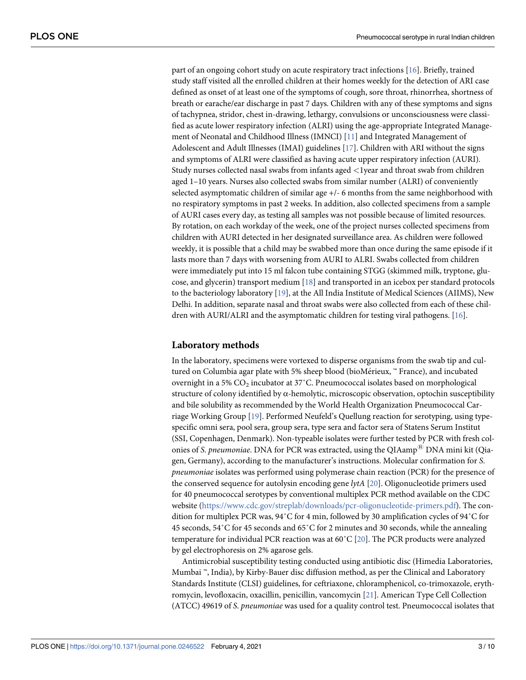<span id="page-2-0"></span>part of an ongoing cohort study on acute respiratory tract infections [[16](#page-9-0)]. Briefly, trained study staff visited all the enrolled children at their homes weekly for the detection of ARI case defined as onset of at least one of the symptoms of cough, sore throat, rhinorrhea, shortness of breath or earache/ear discharge in past 7 days. Children with any of these symptoms and signs of tachypnea, stridor, chest in-drawing, lethargy, convulsions or unconsciousness were classified as acute lower respiratory infection (ALRI) using the age-appropriate Integrated Manage-ment of Neonatal and Childhood Illness (IMNCI) [[11](#page-8-0)] and Integrated Management of Adolescent and Adult Illnesses (IMAI) guidelines [\[17\]](#page-9-0). Children with ARI without the signs and symptoms of ALRI were classified as having acute upper respiratory infection (AURI). Study nurses collected nasal swabs from infants aged *<*1year and throat swab from children aged 1–10 years. Nurses also collected swabs from similar number (ALRI) of conveniently selected asymptomatic children of similar age +/- 6 months from the same neighborhood with no respiratory symptoms in past 2 weeks. In addition, also collected specimens from a sample of AURI cases every day, as testing all samples was not possible because of limited resources. By rotation, on each workday of the week, one of the project nurses collected specimens from children with AURI detected in her designated surveillance area. As children were followed weekly, it is possible that a child may be swabbed more than once during the same episode if it lasts more than 7 days with worsening from AURI to ALRI. Swabs collected from children were immediately put into 15 ml falcon tube containing STGG (skimmed milk, tryptone, glucose, and glycerin) transport medium [[18](#page-9-0)] and transported in an icebox per standard protocols to the bacteriology laboratory [\[19\]](#page-9-0), at the All India Institute of Medical Sciences (AIIMS), New Delhi. In addition, separate nasal and throat swabs were also collected from each of these children with AURI/ALRI and the asymptomatic children for testing viral pathogens. [\[16\]](#page-9-0).

#### **Laboratory methods**

In the laboratory, specimens were vortexed to disperse organisms from the swab tip and cultured on Columbia agar plate with 5% sheep blood (bioMérieux, ™ France), and incubated overnight in a 5%  $\mathrm{CO}_2$  incubator at 37°C. Pneumococcal isolates based on morphological structure of colony identified by  $\alpha$ -hemolytic, microscopic observation, optochin susceptibility and bile solubility as recommended by the World Health Organization Pneumococcal Carriage Working Group [\[19\]](#page-9-0). Performed Neufeld's Quellung reaction for serotyping, using typespecific omni sera, pool sera, group sera, type sera and factor sera of Statens Serum Institut (SSI, Copenhagen, Denmark). Non-typeable isolates were further tested by PCR with fresh colonies of S. pneumoniae. DNA for PCR was extracted, using the QIAamp<sup> $E$ </sup> DNA mini kit (Qiagen, Germany), according to the manufacturer's instructions. Molecular confirmation for S. pneumoniae isolates was performed using polymerase chain reaction (PCR) for the presence of the conserved sequence for autolysin encoding gene lytA [[20](#page-9-0)]. Oligonucleotide primers used for 40 pneumococcal serotypes by conventional multiplex PCR method available on the CDC website [\(https://www.cdc.gov/streplab/downloads/pcr-oligonucleotide-primers.pdf\)](https://www.cdc.gov/streplab/downloads/pcr-oligonucleotide-primers.pdf). The condition for multiplex PCR was, 94˚C for 4 min, followed by 30 amplification cycles of 94˚C for 45 seconds, 54˚C for 45 seconds and 65˚C for 2 minutes and 30 seconds, while the annealing temperature for individual PCR reaction was at 60 $^{\circ}$ C [[20](#page-9-0)]. The PCR products were analyzed by gel electrophoresis on 2% agarose gels.

Antimicrobial susceptibility testing conducted using antibiotic disc (Himedia Laboratories, Mumbai ™, India), by Kirby-Bauer disc diffusion method, as per the Clinical and Laboratory Standards Institute (CLSI) guidelines, for ceftriaxone, chloramphenicol, co-trimoxazole, erythromycin, levofloxacin, oxacillin, penicillin, vancomycin [[21](#page-9-0)]. American Type Cell Collection (ATCC) 49619 of S. pneumoniae was used for a quality control test. Pneumococcal isolates that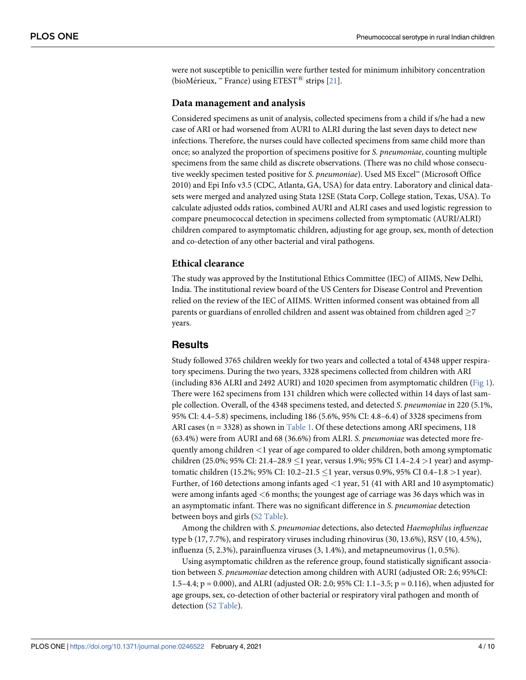<span id="page-3-0"></span>were not susceptible to penicillin were further tested for minimum inhibitory concentration (bioMérieux, ™ France) using  $ETEST^{\textcircled{R}}$  strips [\[21\]](#page-9-0).

#### **Data management and analysis**

Considered specimens as unit of analysis, collected specimens from a child if s/he had a new case of ARI or had worsened from AURI to ALRI during the last seven days to detect new infections. Therefore, the nurses could have collected specimens from same child more than once; so analyzed the proportion of specimens positive for S. pneumoniae, counting multiple specimens from the same child as discrete observations. (There was no child whose consecutive weekly specimen tested positive for S. pneumoniae). Used MS Excel™ (Microsoft Office 2010) and Epi Info v3.5 (CDC, Atlanta, GA, USA) for data entry. Laboratory and clinical datasets were merged and analyzed using Stata 12SE (Stata Corp, College station, Texas, USA). To calculate adjusted odds ratios, combined AURI and ALRI cases and used logistic regression to compare pneumococcal detection in specimens collected from symptomatic (AURI/ALRI) children compared to asymptomatic children, adjusting for age group, sex, month of detection and co-detection of any other bacterial and viral pathogens.

#### **Ethical clearance**

The study was approved by the Institutional Ethics Committee (IEC) of AIIMS, New Delhi, India. The institutional review board of the US Centers for Disease Control and Prevention relied on the review of the IEC of AIIMS. Written informed consent was obtained from all parents or guardians of enrolled children and assent was obtained from children aged  $\geq$ 7 years.

#### **Results**

Study followed 3765 children weekly for two years and collected a total of 4348 upper respiratory specimens. During the two years, 3328 specimens collected from children with ARI (including 836 ALRI and 2492 AURI) and 1020 specimen from asymptomatic children [\(Fig 1\)](#page-4-0). There were 162 specimens from 131 children which were collected within 14 days of last sample collection. Overall, of the 4348 specimens tested, and detected S. pneumoniae in 220 (5.1%, 95% CI: 4.4–5.8) specimens, including 186 (5.6%, 95% CI: 4.8–6.4) of 3328 specimens from ARI cases ( $n = 3328$ ) as shown in [Table 1.](#page-4-0) Of these detections among ARI specimens, 118 (63.4%) were from AURI and 68 (36.6%) from ALRI. S. pneumoniae was detected more frequently among children *<*1 year of age compared to older children, both among symptomatic children (25.0%; 95% CI: 21.4–28.9 �1 year, versus 1.9%; 95% CI 1.4–2.4 *>*1 year) and asymptomatic children (15.2%; 95% CI: 10.2–21.5 �1 year, versus 0.9%, 95% CI 0.4–1.8 *>*1 year). Further, of 160 detections among infants aged *<*1 year, 51 (41 with ARI and 10 asymptomatic) were among infants aged *<*6 months; the youngest age of carriage was 36 days which was in an asymptomatic infant. There was no significant difference in S. pneumoniae detection between boys and girls ([S2 Table\)](#page-7-0).

Among the children with S. pneumoniae detections, also detected Haemophilus influenzae type b (17, 7.7%), and respiratory viruses including rhinovirus (30, 13.6%), RSV (10, 4.5%), influenza (5, 2.3%), parainfluenza viruses (3, 1.4%), and metapneumovirus (1, 0.5%).

Using asymptomatic children as the reference group, found statistically significant association between S. pneumoniae detection among children with AURI (adjusted OR: 2.6; 95%CI: 1.5–4.4; p = 0.000), and ALRI (adjusted OR: 2.0; 95% CI: 1.1–3.5; p = 0.116), when adjusted for age groups, sex, co-detection of other bacterial or respiratory viral pathogen and month of detection ([S2 Table\)](#page-7-0).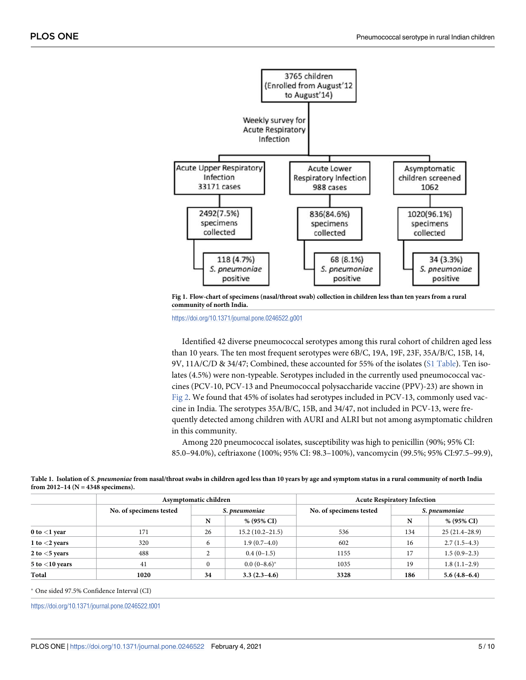<span id="page-4-0"></span>

**[Fig 1. F](#page-3-0)low-chart of specimens (nasal/throat swab) collection in children less than ten years from a rural community of north India.**

<https://doi.org/10.1371/journal.pone.0246522.g001>

Identified 42 diverse pneumococcal serotypes among this rural cohort of children aged less than 10 years. The ten most frequent serotypes were 6B/C, 19A, 19F, 23F, 35A/B/C, 15B, 14, 9V, 11A/C/D & 34/47; Combined, these accounted for 55% of the isolates ([S1 Table\)](#page-7-0). Ten isolates (4.5%) were non-typeable. Serotypes included in the currently used pneumococcal vaccines (PCV-10, PCV-13 and Pneumococcal polysaccharide vaccine (PPV)-23) are shown in [Fig 2.](#page-5-0) We found that 45% of isolates had serotypes included in PCV-13, commonly used vaccine in India. The serotypes 35A/B/C, 15B, and 34/47, not included in PCV-13, were frequently detected among children with AURI and ALRI but not among asymptomatic children in this community.

Among 220 pneumococcal isolates, susceptibility was high to penicillin (90%; 95% CI: 85.0–94.0%), ceftriaxone (100%; 95% CI: 98.3–100%), vancomycin (99.5%; 95% CI:97.5–99.9),

|                     | Asymptomatic children   |               |                     | <b>Acute Respiratory Infection</b> |               |                 |
|---------------------|-------------------------|---------------|---------------------|------------------------------------|---------------|-----------------|
|                     | No. of specimens tested | S. pneumoniae |                     | No. of specimens tested            | S. pneumoniae |                 |
|                     |                         | N             | % (95% CI)          |                                    | N             | % (95% CI)      |
| $0$ to $<$ 1 year   | 171                     | 26            | $15.2(10.2 - 21.5)$ | 536                                | 134           | $25(21.4-28.9)$ |
| 1 to $<$ 2 years    | 320                     | 6             | $1.9(0.7-4.0)$      | 602                                | 16            | $2.7(1.5-4.3)$  |
| 2 to $<$ 5 years    | 488                     | ◠             | $0.4(0-1.5)$        | 1155                               | 17            | $1.5(0.9-2.3)$  |
| $5$ to $<$ 10 years | 41                      | $\mathbf{0}$  | $0.0(0-8.6)^*$      | 1035                               | 19            | $1.8(1.1-2.9)$  |
| Total               | 1020                    | 34            | $3.3(2.3-4.6)$      | 3328                               | 186           | $5.6(4.8-6.4)$  |

**[Table 1.](#page-3-0) Isolation of S. pneumoniae from nasal/throat swabs in children aged less than 10 years by age and symptom status in a rural community of north India from 2012–14 (N = 4348 specimens).**

� One sided 97.5% Confidence Interval (CI)

<https://doi.org/10.1371/journal.pone.0246522.t001>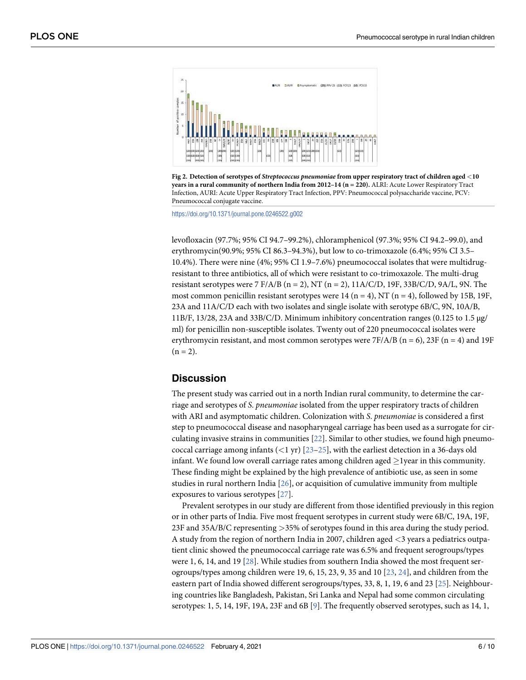<span id="page-5-0"></span>



<https://doi.org/10.1371/journal.pone.0246522.g002>

levofloxacin (97.7%; 95% CI 94.7–99.2%), chloramphenicol (97.3%; 95% CI 94.2–99.0), and erythromycin(90.9%; 95% CI 86.3–94.3%), but low to co-trimoxazole (6.4%; 95% CI 3.5– 10.4%). There were nine (4%; 95% CI 1.9–7.6%) pneumococcal isolates that were multidrugresistant to three antibiotics, all of which were resistant to co-trimoxazole. The multi-drug resistant serotypes were 7 F/A/B ( $n = 2$ ), NT ( $n = 2$ ), 11A/C/D, 19F, 33B/C/D, 9A/L, 9N. The most common penicillin resistant serotypes were 14 (n = 4), NT (n = 4), followed by 15B, 19F, 23A and 11A/C/D each with two isolates and single isolate with serotype 6B/C, 9N, 10A/B, 11B/F, 13/28, 23A and 33B/C/D. Minimum inhibitory concentration ranges (0.125 to 1.5 μg/ ml) for penicillin non-susceptible isolates. Twenty out of 220 pneumococcal isolates were erythromycin resistant, and most common serotypes were  $7F/A/B$  (n = 6), 23F (n = 4) and 19F  $(n = 2)$ .

#### **Discussion**

The present study was carried out in a north Indian rural community, to determine the carriage and serotypes of S. pneumoniae isolated from the upper respiratory tracts of children with ARI and asymptomatic children. Colonization with S. pneumoniae is considered a first step to pneumococcal disease and nasopharyngeal carriage has been used as a surrogate for circulating invasive strains in communities  $[22]$  $[22]$  $[22]$ . Similar to other studies, we found high pneumococcal carriage among infants (*<*1 yr) [[23–25\]](#page-9-0), with the earliest detection in a 36-days old infant. We found low overall carriage rates among children aged  $\geq$  1 year in this community. These finding might be explained by the high prevalence of antibiotic use, as seen in some studies in rural northern India  $[26]$  $[26]$  $[26]$ , or acquisition of cumulative immunity from multiple exposures to various serotypes [\[27\]](#page-9-0).

Prevalent serotypes in our study are different from those identified previously in this region or in other parts of India. Five most frequent serotypes in current study were 6B/C, 19A, 19F, 23F and 35A/B/C representing *>*35% of serotypes found in this area during the study period. A study from the region of northern India in 2007, children aged *<*3 years a pediatrics outpatient clinic showed the pneumococcal carriage rate was 6.5% and frequent serogroups/types were 1, 6, 14, and 19 [\[28\]](#page-9-0). While studies from southern India showed the most frequent serogroups/types among children were 19, 6, 15, 23, 9, 35 and 10 [[23](#page-9-0), [24](#page-9-0)], and children from the eastern part of India showed different serogroups/types, 33, 8, 1, 19, 6 and 23 [[25](#page-9-0)]. Neighbouring countries like Bangladesh, Pakistan, Sri Lanka and Nepal had some common circulating serotypes: 1, 5, 14, 1[9](#page-8-0)F, 19A, 23F and 6B  $[9]$ . The frequently observed serotypes, such as 14, 1,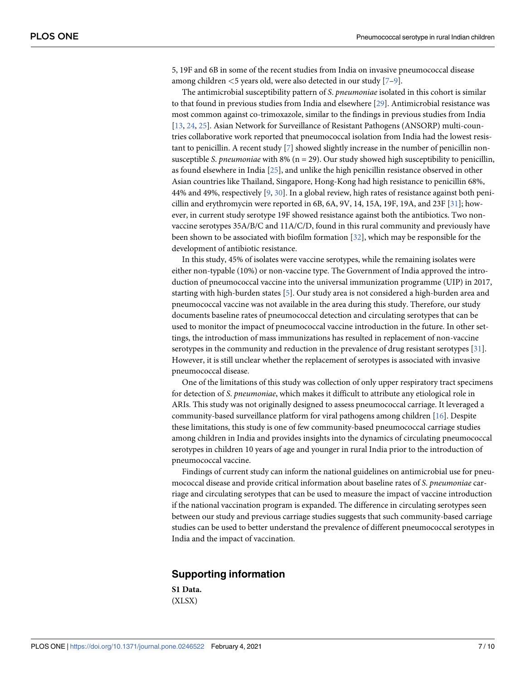<span id="page-6-0"></span>5, 19F and 6B in some of the recent studies from India on invasive pneumococcal disease among children *<*5 years old, were also detected in our study [[7–9](#page-8-0)].

The antimicrobial susceptibility pattern of S. *pneumoniae* isolated in this cohort is similar to that found in previous studies from India and elsewhere [\[29\]](#page-9-0). Antimicrobial resistance was most common against co-trimoxazole, similar to the findings in previous studies from India [\[13,](#page-8-0) [24,](#page-9-0) [25\]](#page-9-0). Asian Network for Surveillance of Resistant Pathogens (ANSORP) multi-countries collaborative work reported that pneumococcal isolation from India had the lowest resistant to penicillin. A recent study [[7](#page-8-0)] showed slightly increase in the number of penicillin nonsusceptible S. pneumoniae with 8% ( $n = 29$ ). Our study showed high susceptibility to penicillin, as found elsewhere in India [[25](#page-9-0)], and unlike the high penicillin resistance observed in other Asian countries like Thailand, Singapore, Hong-Kong had high resistance to penicillin 68%, 44% and 49%, respectively  $[9, 30]$  $[9, 30]$  $[9, 30]$  $[9, 30]$ . In a global review, high rates of resistance against both penicillin and erythromycin were reported in 6B, 6A, 9V, 14, 15A, 19F, 19A, and 23F [\[31\]](#page-9-0); however, in current study serotype 19F showed resistance against both the antibiotics. Two nonvaccine serotypes 35A/B/C and 11A/C/D, found in this rural community and previously have been shown to be associated with biofilm formation [\[32\]](#page-9-0), which may be responsible for the development of antibiotic resistance.

In this study, 45% of isolates were vaccine serotypes, while the remaining isolates were either non-typable (10%) or non-vaccine type. The Government of India approved the introduction of pneumococcal vaccine into the universal immunization programme (UIP) in 2017, starting with high-burden states  $[5]$  $[5]$  $[5]$ . Our study area is not considered a high-burden area and pneumococcal vaccine was not available in the area during this study. Therefore, our study documents baseline rates of pneumococcal detection and circulating serotypes that can be used to monitor the impact of pneumococcal vaccine introduction in the future. In other settings, the introduction of mass immunizations has resulted in replacement of non-vaccine serotypes in the community and reduction in the prevalence of drug resistant serotypes [[31\]](#page-9-0). However, it is still unclear whether the replacement of serotypes is associated with invasive pneumococcal disease.

One of the limitations of this study was collection of only upper respiratory tract specimens for detection of S. pneumoniae, which makes it difficult to attribute any etiological role in ARIs. This study was not originally designed to assess pneumococcal carriage. It leveraged a community-based surveillance platform for viral pathogens among children [\[16\]](#page-9-0). Despite these limitations, this study is one of few community-based pneumococcal carriage studies among children in India and provides insights into the dynamics of circulating pneumococcal serotypes in children 10 years of age and younger in rural India prior to the introduction of pneumococcal vaccine.

Findings of current study can inform the national guidelines on antimicrobial use for pneumococcal disease and provide critical information about baseline rates of S. pneumoniae carriage and circulating serotypes that can be used to measure the impact of vaccine introduction if the national vaccination program is expanded. The difference in circulating serotypes seen between our study and previous carriage studies suggests that such community-based carriage studies can be used to better understand the prevalence of different pneumococcal serotypes in India and the impact of vaccination.

#### **Supporting information**

**[S1 Data](http://www.plosone.org/article/fetchSingleRepresentation.action?uri=info:doi/10.1371/journal.pone.0246522.s001).** (XLSX)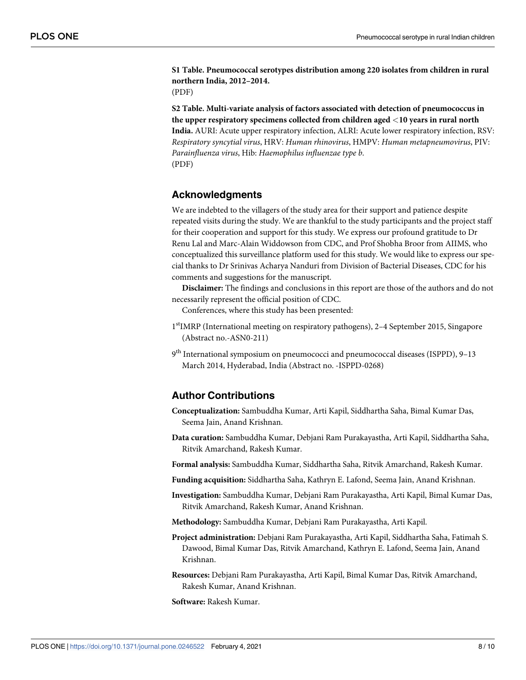<span id="page-7-0"></span>**[S1 Table.](http://www.plosone.org/article/fetchSingleRepresentation.action?uri=info:doi/10.1371/journal.pone.0246522.s002) Pneumococcal serotypes distribution among 220 isolates from children in rural northern India, 2012–2014.**

(PDF)

**[S2 Table.](http://www.plosone.org/article/fetchSingleRepresentation.action?uri=info:doi/10.1371/journal.pone.0246522.s003) Multi-variate analysis of factors associated with detection of pneumococcus in the upper respiratory specimens collected from children aged** *<***10 years in rural north India.** AURI: Acute upper respiratory infection, ALRI: Acute lower respiratory infection, RSV: Respiratory syncytial virus, HRV: Human rhinovirus, HMPV: Human metapneumovirus, PIV: Parainfluenza virus, Hib: Haemophilus influenzae type b. (PDF)

#### **Acknowledgments**

We are indebted to the villagers of the study area for their support and patience despite repeated visits during the study. We are thankful to the study participants and the project staff for their cooperation and support for this study. We express our profound gratitude to Dr Renu Lal and Marc-Alain Widdowson from CDC, and Prof Shobha Broor from AIIMS, who conceptualized this surveillance platform used for this study. We would like to express our special thanks to Dr Srinivas Acharya Nanduri from Division of Bacterial Diseases, CDC for his comments and suggestions for the manuscript.

**Disclaimer:** The findings and conclusions in this report are those of the authors and do not necessarily represent the official position of CDC.

Conferences, where this study has been presented:

- 1<sup>st</sup>IMRP (International meeting on respiratory pathogens), 2-4 September 2015, Singapore (Abstract no.-ASN0-211)
- 9<sup>th</sup> International symposium on pneumococci and pneumococcal diseases (ISPPD), 9–13 March 2014, Hyderabad, India (Abstract no. -ISPPD-0268)

#### **Author Contributions**

- **Conceptualization:** Sambuddha Kumar, Arti Kapil, Siddhartha Saha, Bimal Kumar Das, Seema Jain, Anand Krishnan.
- **Data curation:** Sambuddha Kumar, Debjani Ram Purakayastha, Arti Kapil, Siddhartha Saha, Ritvik Amarchand, Rakesh Kumar.
- **Formal analysis:** Sambuddha Kumar, Siddhartha Saha, Ritvik Amarchand, Rakesh Kumar.
- **Funding acquisition:** Siddhartha Saha, Kathryn E. Lafond, Seema Jain, Anand Krishnan.
- **Investigation:** Sambuddha Kumar, Debjani Ram Purakayastha, Arti Kapil, Bimal Kumar Das, Ritvik Amarchand, Rakesh Kumar, Anand Krishnan.
- **Methodology:** Sambuddha Kumar, Debjani Ram Purakayastha, Arti Kapil.
- **Project administration:** Debjani Ram Purakayastha, Arti Kapil, Siddhartha Saha, Fatimah S. Dawood, Bimal Kumar Das, Ritvik Amarchand, Kathryn E. Lafond, Seema Jain, Anand Krishnan.
- **Resources:** Debjani Ram Purakayastha, Arti Kapil, Bimal Kumar Das, Ritvik Amarchand, Rakesh Kumar, Anand Krishnan.
- **Software:** Rakesh Kumar.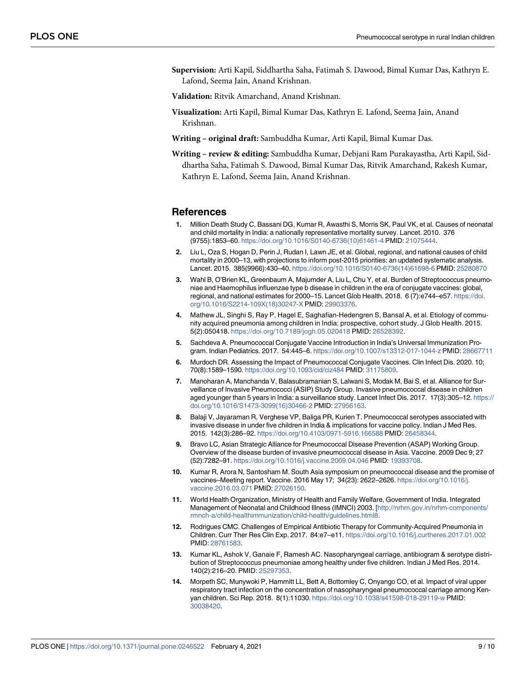<span id="page-8-0"></span>**Supervision:** Arti Kapil, Siddhartha Saha, Fatimah S. Dawood, Bimal Kumar Das, Kathryn E. Lafond, Seema Jain, Anand Krishnan.

**Validation:** Ritvik Amarchand, Anand Krishnan.

- **Visualization:** Arti Kapil, Bimal Kumar Das, Kathryn E. Lafond, Seema Jain, Anand Krishnan.
- **Writing original draft:** Sambuddha Kumar, Arti Kapil, Bimal Kumar Das.
- **Writing review & editing:** Sambuddha Kumar, Debjani Ram Purakayastha, Arti Kapil, Siddhartha Saha, Fatimah S. Dawood, Bimal Kumar Das, Ritvik Amarchand, Rakesh Kumar, Kathryn E. Lafond, Seema Jain, Anand Krishnan.

#### **References**

- **[1](#page-1-0).** Million Death Study C, Bassani DG, Kumar R, Awasthi S, Morris SK, Paul VK, et al. Causes of neonatal and child mortality in India: a nationally representative mortality survey. Lancet. 2010. 376 (9755):1853–60. [https://doi.org/10.1016/S0140-6736\(10\)61461-4](https://doi.org/10.1016/S0140-6736%2810%2961461-4) PMID: [21075444](http://www.ncbi.nlm.nih.gov/pubmed/21075444).
- **[2](#page-1-0).** Liu L, Oza S, Hogan D, Perin J, Rudan I, Lawn JE, et al. Global, regional, and national causes of child mortality in 2000–13, with projections to inform post-2015 priorities: an updated systematic analysis. Lancet. 2015. 385(9966):430–40. [https://doi.org/10.1016/S0140-6736\(14\)61698-6](https://doi.org/10.1016/S0140-6736%2814%2961698-6) PMID: [25280870](http://www.ncbi.nlm.nih.gov/pubmed/25280870)
- **[3](#page-1-0).** Wahl B, O'Brien KL, Greenbaum A, Majumder A, Liu L, Chu Y, et al. Burden of Streptococcus pneumoniae and Haemophilus influenzae type b disease in children in the era of conjugate vaccines: global, regional, and national estimates for 2000–15. Lancet Glob Health. 2018. 6 (7):e744–e57. [https://doi.](https://doi.org/10.1016/S2214-109X%2818%2930247-X) [org/10.1016/S2214-109X\(18\)30247-X](https://doi.org/10.1016/S2214-109X%2818%2930247-X) PMID: [29903376](http://www.ncbi.nlm.nih.gov/pubmed/29903376).
- **[4](#page-1-0).** Mathew JL, Singhi S, Ray P, Hagel E, Saghafian-Hedengren S, Bansal A, et al. Etiology of community acquired pneumonia among children in India: prospective, cohort study. J Glob Health. 2015. 5(2):050418. <https://doi.org/10.7189/jogh.05.020418> PMID: [26528392.](http://www.ncbi.nlm.nih.gov/pubmed/26528392)
- **[5](#page-1-0).** Sachdeva A. Pneumococcal Conjugate Vaccine Introduction in India's Universal Immunization Program. Indian Pediatrics. 2017. 54:445–6. <https://doi.org/10.1007/s13312-017-1044-z> PMID: [28667711](http://www.ncbi.nlm.nih.gov/pubmed/28667711)
- **[6](#page-1-0).** Murdoch DR. Assessing the Impact of Pneumococcal Conjugate Vaccines. Clin Infect Dis. 2020. 10; 70(8):1589–1590. <https://doi.org/10.1093/cid/ciz484> PMID: [31175809](http://www.ncbi.nlm.nih.gov/pubmed/31175809).
- **[7](#page-1-0).** Manoharan A, Manchanda V, Balasubramanian S, Lalwani S, Modak M, Bai S, et al. Alliance for Surveillance of Invasive Pneumococci (ASIP) Study Group. Invasive pneumococcal disease in children aged younger than 5 years in India: a surveillance study. Lancet Infect Dis. 2017. 17(3):305–12. [https://](https://doi.org/10.1016/S1473-3099%2816%2930466-2) [doi.org/10.1016/S1473-3099\(16\)30466-2](https://doi.org/10.1016/S1473-3099%2816%2930466-2) PMID: [27956163](http://www.ncbi.nlm.nih.gov/pubmed/27956163).
- **[8](#page-1-0).** Balaji V, Jayaraman R, Verghese VP, Baliga PR, Kurien T. Pneumococcal serotypes associated with invasive disease in under five children in India & implications for vaccine policy. Indian J Med Res. 2015. 142(3):286–92. <https://doi.org/10.4103/0971-5916.166588> PMID: [26458344](http://www.ncbi.nlm.nih.gov/pubmed/26458344).
- **[9](#page-1-0).** Bravo LC, Asian Strategic Alliance for Pneumococcal Disease Prevention (ASAP) Working Group. Overview of the disease burden of invasive pneumococcal disease in Asia. Vaccine. 2009 Dec 9; 27 (52):7282–91. <https://doi.org/10.1016/j.vaccine.2009.04.046> PMID: [19393708](http://www.ncbi.nlm.nih.gov/pubmed/19393708).
- **[10](#page-1-0).** Kumar R, Arora N, Santosham M. South Asia symposium on pneumococcal disease and the promise of vaccines–Meeting report. Vaccine. 2016 May 17; 34(23): 2622–2626. [https://doi.org/10.1016/j.](https://doi.org/10.1016/j.vaccine.2016.03.071) [vaccine.2016.03.071](https://doi.org/10.1016/j.vaccine.2016.03.071) PMID: [27026150](http://www.ncbi.nlm.nih.gov/pubmed/27026150).
- **[11](#page-1-0).** World Health Organization, Ministry of Health and Family Welfare, Government of India. Integrated Management of Neonatal and Childhood Illness (IMNCI) 2003. [[http://nrhm.gov.in/nrhm-components/](http://nrhm.gov.in/nrhm-components/rmnch-a/child-healthimmunization/child-health/guidelines.html8) [rmnch-a/child-healthimmunization/child-health/guidelines.html8](http://nrhm.gov.in/nrhm-components/rmnch-a/child-healthimmunization/child-health/guidelines.html8).
- **[12](#page-1-0).** Rodrigues CMC. Challenges of Empirical Antibiotic Therapy for Community-Acquired Pneumonia in Children. Curr Ther Res Clin Exp. 2017. 84:e7–e11. <https://doi.org/10.1016/j.curtheres.2017.01.002> PMID: [28761583](http://www.ncbi.nlm.nih.gov/pubmed/28761583).
- **[13](#page-1-0).** Kumar KL, Ashok V, Ganaie F, Ramesh AC. Nasopharyngeal carriage, antibiogram & serotype distribution of Streptococcus pneumoniae among healthy under five children. Indian J Med Res. 2014. 140(2):216–20. PMID: [25297353](http://www.ncbi.nlm.nih.gov/pubmed/25297353).
- **[14](#page-1-0).** Morpeth SC, Munywoki P, Hammitt LL, Bett A, Bottomley C, Onyango CO, et al. Impact of viral upper respiratory tract infection on the concentration of nasopharyngeal pneumococcal carriage among Kenyan children. Sci Rep. 2018. 8(1):11030. <https://doi.org/10.1038/s41598-018-29119-w> PMID: [30038420](http://www.ncbi.nlm.nih.gov/pubmed/30038420).